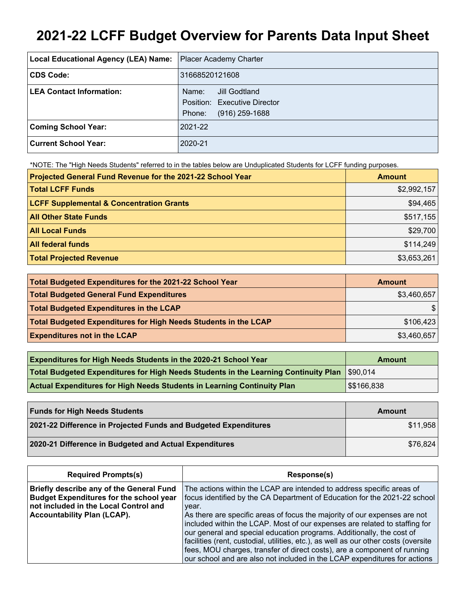# **2021-22 LCFF Budget Overview for Parents Data Input Sheet**

| Local Educational Agency (LEA) Name: | <b>Placer Academy Charter</b>                                                        |
|--------------------------------------|--------------------------------------------------------------------------------------|
| CDS Code:                            | 31668520121608                                                                       |
| <b>LEA Contact Information:</b>      | Jill Godtland<br>Name:<br>Position: Executive Director<br>$(916)$ 259-1688<br>Phone: |
| <b>Coming School Year:</b>           | 2021-22                                                                              |
| <b>Current School Year:</b>          | 2020-21                                                                              |

\*NOTE: The "High Needs Students" referred to in the tables below are Unduplicated Students for LCFF funding purposes.

| Projected General Fund Revenue for the 2021-22 School Year | <b>Amount</b> |
|------------------------------------------------------------|---------------|
| <b>Total LCFF Funds</b>                                    | \$2,992,157   |
| <b>LCFF Supplemental &amp; Concentration Grants</b>        | \$94,465      |
| <b>All Other State Funds</b>                               | \$517,155     |
| <b>All Local Funds</b>                                     | \$29,700      |
| <b>All federal funds</b>                                   | \$114,249     |
| <b>Total Projected Revenue</b>                             | \$3,653,261   |

| Total Budgeted Expenditures for the 2021-22 School Year         | Amount      |
|-----------------------------------------------------------------|-------------|
| <b>Total Budgeted General Fund Expenditures</b>                 | \$3,460,657 |
| <b>Total Budgeted Expenditures in the LCAP</b>                  |             |
| Total Budgeted Expenditures for High Needs Students in the LCAP | \$106,423   |
| <b>Expenditures not in the LCAP</b>                             | \$3,460,657 |

| <b>Expenditures for High Needs Students in the 2020-21 School Year</b>                        | Amount      |
|-----------------------------------------------------------------------------------------------|-------------|
| Total Budgeted Expenditures for High Needs Students in the Learning Continuity Plan  \$90,014 |             |
| <b>Actual Expenditures for High Needs Students in Learning Continuity Plan</b>                | \$\$166,838 |

| <b>Funds for High Needs Students</b>                            | Amount   |
|-----------------------------------------------------------------|----------|
| 2021-22 Difference in Projected Funds and Budgeted Expenditures | \$11,958 |
| 2020-21 Difference in Budgeted and Actual Expenditures          | \$76,824 |

| <b>Required Prompts(s)</b>                                                                                                                                                | Response(s)                                                                                                                                                                                                                                                                                                                                                                                                                                                                                                                                                                                                                                     |
|---------------------------------------------------------------------------------------------------------------------------------------------------------------------------|-------------------------------------------------------------------------------------------------------------------------------------------------------------------------------------------------------------------------------------------------------------------------------------------------------------------------------------------------------------------------------------------------------------------------------------------------------------------------------------------------------------------------------------------------------------------------------------------------------------------------------------------------|
| Briefly describe any of the General Fund<br><b>Budget Expenditures for the school year</b><br>not included in the Local Control and<br><b>Accountability Plan (LCAP).</b> | The actions within the LCAP are intended to address specific areas of<br>focus identified by the CA Department of Education for the 2021-22 school<br>year.<br>As there are specific areas of focus the majority of our expenses are not<br>included within the LCAP. Most of our expenses are related to staffing for<br>our general and special education programs. Additionally, the cost of<br>facilities (rent, custodial, utilities, etc.), as well as our other costs (oversite<br>fees, MOU charges, transfer of direct costs), are a component of running<br>our school and are also not included in the LCAP expenditures for actions |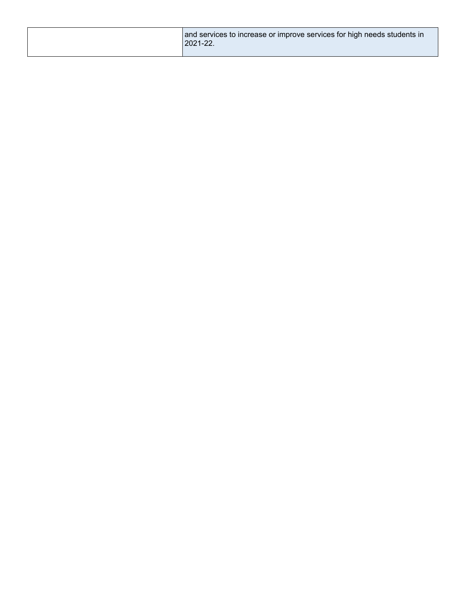|  | and services to increase or improve services for high needs students in<br>2021-22. |
|--|-------------------------------------------------------------------------------------|
|--|-------------------------------------------------------------------------------------|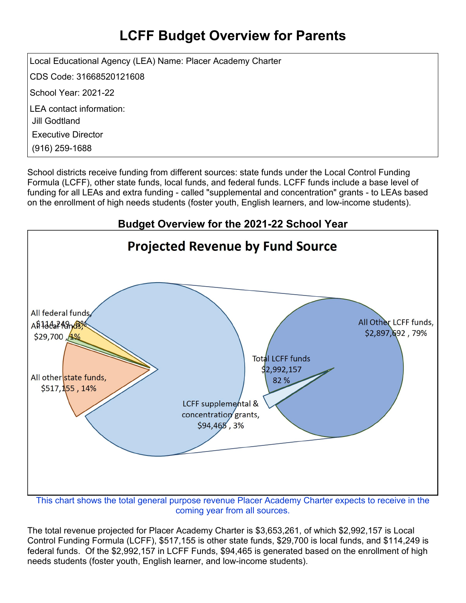## **LCFF Budget Overview for Parents**

Local Educational Agency (LEA) Name: Placer Academy Charter CDS Code: 31668520121608 School Year: 2021-22 LEA contact information: Jill Godtland Executive Director (916) 259-1688

School districts receive funding from different sources: state funds under the Local Control Funding Formula (LCFF), other state funds, local funds, and federal funds. LCFF funds include a base level of funding for all LEAs and extra funding - called "supplemental and concentration" grants - to LEAs based on the enrollment of high needs students (foster youth, English learners, and low-income students).



This chart shows the total general purpose revenue Placer Academy Charter expects to receive in the coming year from all sources.

The total revenue projected for Placer Academy Charter is \$3,653,261, of which \$2,992,157 is Local Control Funding Formula (LCFF), \$517,155 is other state funds, \$29,700 is local funds, and \$114,249 is federal funds. Of the \$2,992,157 in LCFF Funds, \$94,465 is generated based on the enrollment of high needs students (foster youth, English learner, and low-income students).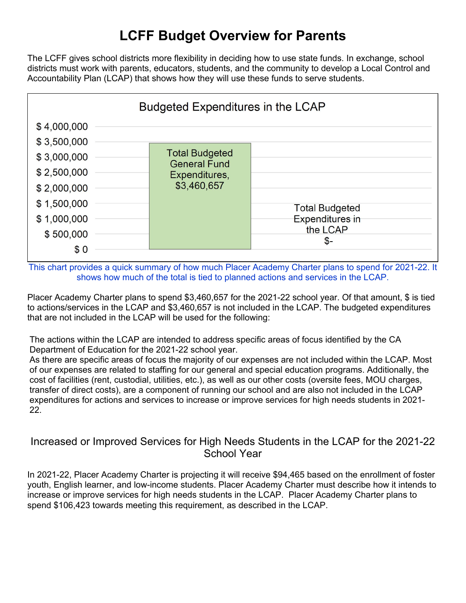### **LCFF Budget Overview for Parents**

The LCFF gives school districts more flexibility in deciding how to use state funds. In exchange, school districts must work with parents, educators, students, and the community to develop a Local Control and Accountability Plan (LCAP) that shows how they will use these funds to serve students.



This chart provides a quick summary of how much Placer Academy Charter plans to spend for 2021-22. It shows how much of the total is tied to planned actions and services in the LCAP.

Placer Academy Charter plans to spend \$3,460,657 for the 2021-22 school year. Of that amount, \$ is tied to actions/services in the LCAP and \$3,460,657 is not included in the LCAP. The budgeted expenditures that are not included in the LCAP will be used for the following:

The actions within the LCAP are intended to address specific areas of focus identified by the CA Department of Education for the 2021-22 school year.

As there are specific areas of focus the majority of our expenses are not included within the LCAP. Most of our expenses are related to staffing for our general and special education programs. Additionally, the cost of facilities (rent, custodial, utilities, etc.), as well as our other costs (oversite fees, MOU charges, transfer of direct costs), are a component of running our school and are also not included in the LCAP expenditures for actions and services to increase or improve services for high needs students in 2021- 22.

#### Increased or Improved Services for High Needs Students in the LCAP for the 2021-22 School Year

In 2021-22, Placer Academy Charter is projecting it will receive \$94,465 based on the enrollment of foster youth, English learner, and low-income students. Placer Academy Charter must describe how it intends to increase or improve services for high needs students in the LCAP. Placer Academy Charter plans to spend \$106,423 towards meeting this requirement, as described in the LCAP.